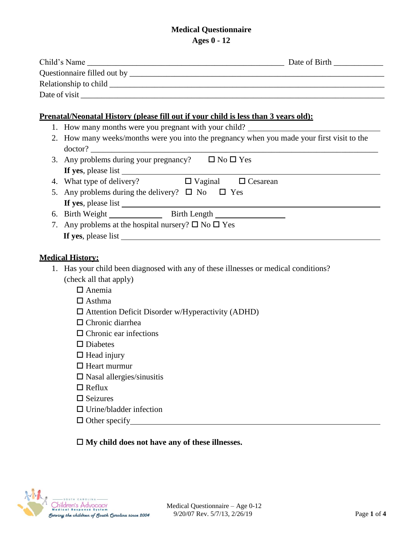## **Medical Questionnaire Ages 0 - 12**

|  | Prenatal/Neonatal History (please fill out if your child is less than 3 years old):                           |
|--|---------------------------------------------------------------------------------------------------------------|
|  | 1. How many months were you pregnant with your child?                                                         |
|  | 2. How many weeks/months were you into the pregnancy when you made your first visit to the<br>doctor?         |
|  | 3. Any problems during your pregnancy? $\Box$ No $\Box$ Yes                                                   |
|  | 4. What type of delivery? $\Box$ Vaginal $\Box$ Cesarean                                                      |
|  | 5. Any problems during the delivery? $\Box$ No $\Box$ Yes                                                     |
|  |                                                                                                               |
|  | 6. Birth Weight Birth Length                                                                                  |
|  | 7. Any problems at the hospital nursery? $\square$ No $\square$ Yes                                           |
|  |                                                                                                               |
|  |                                                                                                               |
|  | <b>Medical History:</b>                                                                                       |
|  | 1. Has your child been diagnosed with any of these illnesses or medical conditions?<br>(check all that apply) |
|  | $\Box$ Anemia                                                                                                 |
|  | $\Box$ Asthma                                                                                                 |
|  |                                                                                                               |
|  | $\Box$ Attention Deficit Disorder w/Hyperactivity (ADHD)<br>$\Box$ Chronic diarrhea                           |
|  | $\Box$ Chronic ear infections                                                                                 |
|  | $\square$ Diabetes                                                                                            |
|  | $\Box$ Head injury                                                                                            |
|  | $\Box$ Heart murmur                                                                                           |
|  | $\square$ Nasal allergies/sinusitis                                                                           |
|  | $\Box$ Reflux                                                                                                 |
|  |                                                                                                               |

- $\Box$  Seizures
- Urine/bladder infection
- $\Box$  Other specify

## **My child does not have any of these illnesses.**

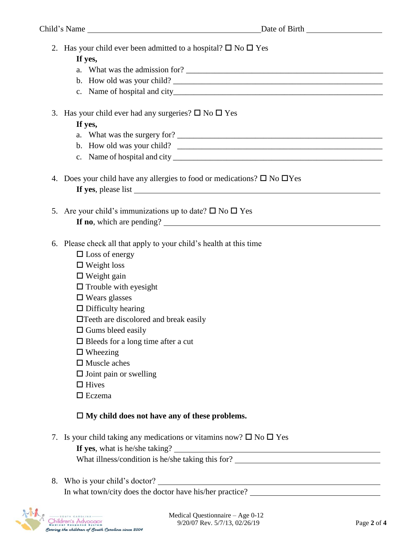2. Has your child ever been admitted to a hospital?  $\square$  No  $\square$  Yes

## **If yes,**

- a. What was the admission for?
- b. How old was your child?
- c. Name of hospital and city\_\_\_\_\_\_\_\_\_\_\_\_\_\_\_\_\_\_\_\_\_\_\_\_\_\_\_\_\_\_\_\_\_\_\_\_\_\_\_\_\_\_\_\_\_\_\_\_\_\_\_
- 3. Has your child ever had any surgeries?  $\square$  No  $\square$  Yes

# **If yes,**

- a. What was the surgery for?
- b. How old was your child?
- c. Name of hospital and city \_\_\_\_\_\_\_\_\_\_\_\_\_\_\_\_\_\_\_\_\_\_\_\_\_\_\_\_\_\_\_\_\_\_\_\_\_\_\_\_\_\_\_\_\_\_\_\_\_\_\_
- 4. Does your child have any allergies to food or medications?  $\square$  No  $\square$  Yes **If yes**, please list
- 5. Are your child's immunizations up to date?  $\square$  No  $\square$  Yes **If no**, which are pending?
- 6. Please check all that apply to your child's health at this time
	- $\Box$  Loss of energy
	- Weight loss
	- $\Box$  Weight gain
	- $\Box$  Trouble with eyesight
	- $\square$  Wears glasses
	- $\Box$  Difficulty hearing
	- $\Box$  Teeth are discolored and break easily
	- $\square$  Gums bleed easily
	- $\square$  Bleeds for a long time after a cut
	- $\square$  Wheezing
	- $\Box$  Muscle aches
	- $\square$  Joint pain or swelling
	- $\Box$  Hives
	- $\square$  Eczema

# **My child does not have any of these problems.**

7. Is your child taking any medications or vitamins now?  $\Box$  No  $\Box$  Yes

**If yes**, what is he/she taking?

What illness/condition is he/she taking this for?

8. Who is your child's doctor? In what town/city does the doctor have his/her practice?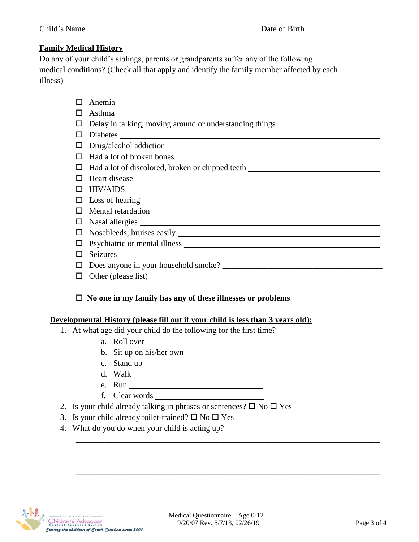## **Family Medical History**

Do any of your child's siblings, parents or grandparents suffer any of the following medical conditions? (Check all that apply and identify the family member affected by each illness)

|   | Asthma                                                                                                                                                                                                                         |
|---|--------------------------------------------------------------------------------------------------------------------------------------------------------------------------------------------------------------------------------|
|   | Delay in talking, moving around or understanding things ________________________                                                                                                                                               |
|   |                                                                                                                                                                                                                                |
|   |                                                                                                                                                                                                                                |
|   |                                                                                                                                                                                                                                |
|   | Had a lot of discolored, broken or chipped teeth _______________________________                                                                                                                                               |
|   |                                                                                                                                                                                                                                |
|   | $HIV/ AIDS$ $\qquad \qquad$                                                                                                                                                                                                    |
|   | Loss of hearing head and the same state of the same state of the same state of the same state of the same state of the same state of the same state of the same state of the same state of the same state of the same state of |
|   |                                                                                                                                                                                                                                |
|   |                                                                                                                                                                                                                                |
| ப |                                                                                                                                                                                                                                |
|   |                                                                                                                                                                                                                                |
|   |                                                                                                                                                                                                                                |
|   |                                                                                                                                                                                                                                |
|   |                                                                                                                                                                                                                                |

### **No one in my family has any of these illnesses or problems**

### **Developmental History (please fill out if your child is less than 3 years old):**

- 1. At what age did your child do the following for the first time?
	- a. Roll over
	- b. Sit up on his/her own
	- c. Stand up
	- d. Walk
	- e. Run
	- f. Clear words
- 2. Is your child already talking in phrases or sentences?  $\square$  No  $\square$  Yes
- 3. Is your child already toilet-trained?  $\square$  No  $\square$  Yes
- 4. What do you do when your child is acting up?



\_\_\_\_\_\_\_\_\_\_\_\_\_\_\_\_\_\_\_\_\_\_\_\_\_\_\_\_\_\_\_\_\_\_\_\_\_\_\_\_\_\_\_\_\_\_\_\_\_\_\_\_\_\_\_\_\_\_\_\_\_\_\_\_\_\_\_\_\_\_\_\_\_\_ \_\_\_\_\_\_\_\_\_\_\_\_\_\_\_\_\_\_\_\_\_\_\_\_\_\_\_\_\_\_\_\_\_\_\_\_\_\_\_\_\_\_\_\_\_\_\_\_\_\_\_\_\_\_\_\_\_\_\_\_\_\_\_\_\_\_\_\_\_\_\_\_\_\_ \_\_\_\_\_\_\_\_\_\_\_\_\_\_\_\_\_\_\_\_\_\_\_\_\_\_\_\_\_\_\_\_\_\_\_\_\_\_\_\_\_\_\_\_\_\_\_\_\_\_\_\_\_\_\_\_\_\_\_\_\_\_\_\_\_\_\_\_\_\_\_\_\_\_ \_\_\_\_\_\_\_\_\_\_\_\_\_\_\_\_\_\_\_\_\_\_\_\_\_\_\_\_\_\_\_\_\_\_\_\_\_\_\_\_\_\_\_\_\_\_\_\_\_\_\_\_\_\_\_\_\_\_\_\_\_\_\_\_\_\_\_\_\_\_\_\_\_\_

<u> 1990 - Johann Barbara, martin a</u>